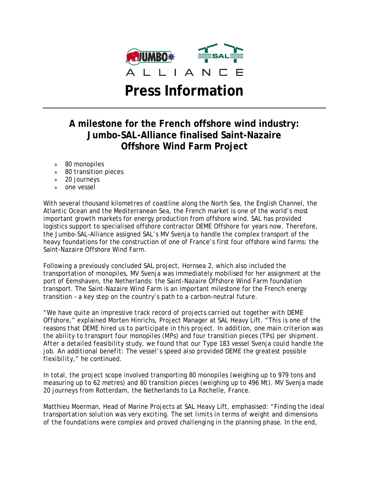

# **A milestone for the French offshore wind industry: Jumbo-SAL-Alliance finalised Saint-Nazaire Offshore Wind Farm Project**

- » 80 monopiles
- » 80 transition pieces
- » 20 journeys
- » one vessel

With several thousand kilometres of coastline along the North Sea, the English Channel, the Atlantic Ocean and the Mediterranean Sea, the French market is one of the world's most important growth markets for energy production from offshore wind. SAL has provided logistics support to specialised offshore contractor DEME Offshore for years now. Therefore, the Jumbo-SAL-Alliance assigned SAL's MV Svenja to handle the complex transport of the heavy foundations for the construction of one of France's first four offshore wind farms: the Saint-Nazaire Offshore Wind Farm.

Following a previously concluded SAL project, Hornsea 2, which also included the transportation of monopiles, MV Svenja was immediately mobilised for her assignment at the port of Eemshaven, the Netherlands: the Saint-Nazaire Offshore Wind Farm foundation transport. The Saint-Nazaire Wind Farm is an important milestone for the French energy transition – a key step on the country's path to a carbon-neutral future.

*"We have quite an impressive track record of projects carried out together with DEME Offshore,"* explained Morten Hinrichs, Project Manager at SAL Heavy Lift. *"This is one of the reasons that DEME hired us to participate in this project. In addition, one main criterion was the ability to transport four monopiles (MPs) and four transition pieces (TPs) per shipment. After a detailed feasibility study, we found that our Type 183 vessel Svenja could handle the job. An additional benefit: The vessel's speed also provided DEME the greatest possible flexibility,"* he continued.

In total, the project scope involved transporting 80 monopiles (weighing up to 979 tons and measuring up to 62 metres) and 80 transition pieces (weighing up to 496 Mt). MV Svenja made 20 journeys from Rotterdam, the Netherlands to La Rochelle, France.

Matthieu Moerman, Head of Marine Projects at SAL Heavy Lift, emphasised: *"Finding the ideal transportation solution was very exciting. The set limits in terms of weight and dimensions of the foundations were complex and proved challenging in the planning phase. In the end,*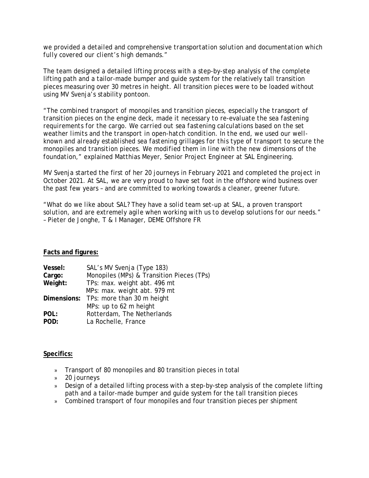*we provided a detailed and comprehensive transportation solution and documentation which fully covered our client's high demands."*

The team designed a detailed lifting process with a step-by-step analysis of the complete lifting path and a tailor-made bumper and guide system for the relatively tall transition pieces measuring over 30 metres in height. All transition pieces were to be loaded without using MV Svenja's stability pontoon.

*"The combined transport of monopiles and transition pieces, especially the transport of transition pieces on the engine deck, made it necessary to re-evaluate the sea fastening requirements for the cargo. We carried out sea fastening calculations based on the set weather limits and the transport in open-hatch condition. In the end, we used our wellknown and already established sea fastening grillages for this type of transport to secure the monopiles and transition pieces. We modified them in line with the new dimensions of the foundation,"* explained Matthias Meyer, Senior Project Engineer at SAL Engineering.

MV Svenja started the first of her 20 journeys in February 2021 and completed the project in October 2021. At SAL, we are very proud to have set foot in the offshore wind business over the past few years – and are committed to working towards a cleaner, greener future.

*"What do we like about SAL? They have a solid team set-up at SAL, a proven transport solution, and are extremely agile when working with us to develop solutions for our needs."* – Pieter de Jonghe, T & I Manager, DEME Offshore FR

## **Facts and figures:**

| Vessel: | SAL's MV Svenja (Type 183)                |
|---------|-------------------------------------------|
| Cargo:  | Monopiles (MPs) & Transition Pieces (TPs) |
| Weight: | TPs: max. weight abt. 496 mt              |
|         | MPs: max. weight abt. 979 mt              |
|         | Dimensions: TPs: more than 30 m height    |
|         | MPs: up to 62 m height                    |
| POL:    | Rotterdam, The Netherlands                |
| POD:    | La Rochelle, France                       |

## **Specifics:**

- » Transport of 80 monopiles and 80 transition pieces in total
- » 20 journeys
- » Design of a detailed lifting process with a step-by-step analysis of the complete lifting path and a tailor-made bumper and guide system for the tall transition pieces
- » Combined transport of four monopiles and four transition pieces per shipment